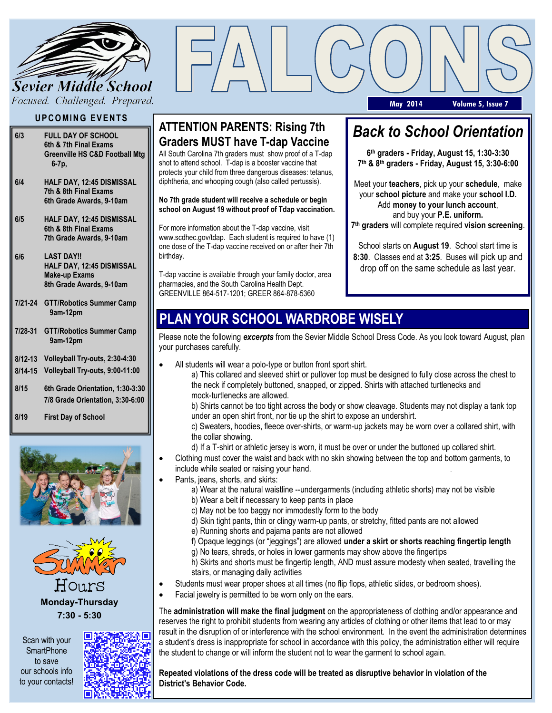

#### **U P C O MI N G EV E NT S**

- **6/3 FULL DAY OF SCHOOL 6th & 7th Final Exams Greenville HS C&D Football Mtg 6-7p,**
- **6/4 HALF DAY, 12:45 DISMISSAL 7th & 8th Final Exams 6th Grade Awards, 9-10am**
- **6/5 HALF DAY, 12:45 DISMISSAL 6th & 8th Final Exams 7th Grade Awards, 9-10am**
- **6/6 LAST DAY!! HALF DAY, 12:45 DISMISSAL Make-up Exams 8th Grade Awards, 9-10am**
- **7/21-24 GTT/Robotics Summer Camp 9am-12pm**
- **7/28-31 GTT/Robotics Summer Camp 9am-12pm**

**8/12-13 Volleyball Try-outs, 2:30-4:30**

**8/14-15 Volleyball Try-outs, 9:00-11:00**

- **8/15 6th Grade Orientation, 1:30-3:30 7/8 Grade Orientation, 3:30-6:00**
- **8/19 First Day of School**





HOLLYS **Monday-Thursday 7:30 - 5:30**

Scan with your **SmartPhone** to save our schools info to your contacts!



#### **ATTENTION PARENTS: Rising 7th Graders MUST have T-dap Vaccine**

All South Carolina 7th graders must show proof of a T-dap shot to attend school. T-dap is a booster vaccine that protects your child from three dangerous diseases: tetanus, diphtheria, and whooping cough (also called pertussis).

**No 7th grade student will receive a schedule or begin school on August 19 without proof of Tdap vaccination.** 

For more information about the T-dap vaccine, visit www.scdhec.gov/tdap. Each student is required to have (1) one dose of the T-dap vaccine received on or after their 7th birthday.

T-dap vaccine is available through your family doctor, area pharmacies, and the South Carolina Health Dept. GREENVILLE 864-517-1201; GREER 864-878-5360

# *Back to School Orientation*

**May 2014 Volume 5, Issue 7**

**6 th graders - Friday, August 15, 1:30-3:30 7 th & 8th graders - Friday, August 15, 3:30-6:00**

Meet your **teachers**, pick up your **schedule**, make your **school picture** and make your **school I.D.** Add **money to your lunch account**, and buy your **P.E. uniform. 7 th graders** will complete required **vision screening**.

School starts on **August 19**. School start time is **8:30**. Classes end at **3:25**. Buses will pick up and drop off on the same schedule as last year.

## **PLAN YOUR SCHOOL WARDROBE WISELY**

Please note the following *excerpts* from the Sevier Middle School Dress Code. As you look toward August, plan your purchases carefully.

- All students will wear a polo-type or button front sport shirt.
	- a) This collared and sleeved shirt or pullover top must be designed to fully close across the chest to the neck if completely buttoned, snapped, or zipped. Shirts with attached turtlenecks and mock-turtlenecks are allowed.

b) Shirts cannot be too tight across the body or show cleavage. Students may not display a tank top under an open shirt front, nor tie up the shirt to expose an undershirt.

c) Sweaters, hoodies, fleece over-shirts, or warm-up jackets may be worn over a collared shirt, with the collar showing.

- d) If a T-shirt or athletic jersey is worn, it must be over or under the buttoned up collared shirt. Clothing must cover the waist and back with no skin showing between the top and bottom garments, to
- include while seated or raising your hand. Pants, jeans, shorts, and skirts:
	- a) Wear at the natural waistline --undergarments (including athletic shorts) may not be visible b) Wear a belt if necessary to keep pants in place
	-
	- c) May not be too baggy nor immodestly form to the body
	- d) Skin tight pants, thin or clingy warm-up pants, or stretchy, fitted pants are not allowed
	- e) Running shorts and pajama pants are not allowed
	- f) Opaque leggings (or "jeggings") are allowed **under a skirt or shorts reaching fingertip length**
	- g) No tears, shreds, or holes in lower garments may show above the fingertips
	- h) Skirts and shorts must be fingertip length, AND must assure modesty when seated, travelling the stairs, or managing daily activities
- Students must wear proper shoes at all times (no flip flops, athletic slides, or bedroom shoes).
- Facial jewelry is permitted to be worn only on the ears.

The **administration will make the final judgment** on the appropriateness of clothing and/or appearance and reserves the right to prohibit students from wearing any articles of clothing or other items that lead to or may result in the disruption of or interference with the school environment. In the event the administration determines a student's dress is inappropriate for school in accordance with this policy, the administration either will require the student to change or will inform the student not to wear the garment to school again.

**Repeated violations of the dress code will be treated as disruptive behavior in violation of the District's Behavior Code.**